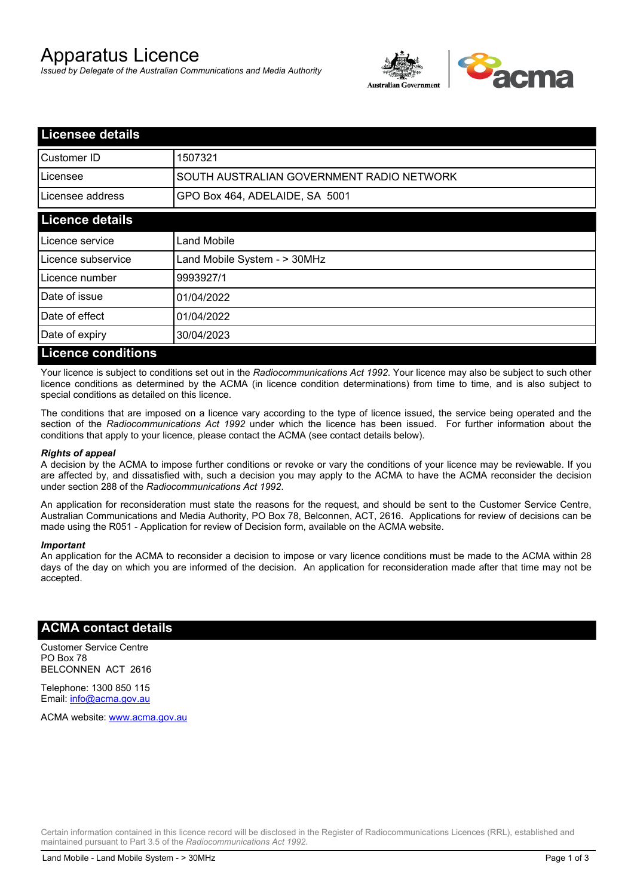# Apparatus Licence

*Issued by Delegate of the Australian Communications and Media Authority*



| <b>Licensee details</b>   |                                           |
|---------------------------|-------------------------------------------|
| <b>I</b> Customer ID      | 1507321                                   |
| Licensee                  | SOUTH AUSTRALIAN GOVERNMENT RADIO NETWORK |
| Licensee address          | GPO Box 464, ADELAIDE, SA 5001            |
| <b>Licence details</b>    |                                           |
| Licence service           | Land Mobile                               |
| Licence subservice        | Land Mobile System - > 30MHz              |
| Licence number            | 9993927/1                                 |
| Date of issue             | 01/04/2022                                |
| Date of effect            | 01/04/2022                                |
| Date of expiry            | 30/04/2023                                |
| <b>Licence conditions</b> |                                           |

Your licence is subject to conditions set out in the *Radiocommunications Act 1992*. Your licence may also be subject to such other licence conditions as determined by the ACMA (in licence condition determinations) from time to time, and is also subject to special conditions as detailed on this licence.

The conditions that are imposed on a licence vary according to the type of licence issued, the service being operated and the section of the *Radiocommunications Act 1992* under which the licence has been issued. For further information about the conditions that apply to your licence, please contact the ACMA (see contact details below).

#### *Rights of appeal*

A decision by the ACMA to impose further conditions or revoke or vary the conditions of your licence may be reviewable. If you are affected by, and dissatisfied with, such a decision you may apply to the ACMA to have the ACMA reconsider the decision under section 288 of the *Radiocommunications Act 1992*.

An application for reconsideration must state the reasons for the request, and should be sent to the Customer Service Centre, Australian Communications and Media Authority, PO Box 78, Belconnen, ACT, 2616. Applications for review of decisions can be made using the R051 - Application for review of Decision form, available on the ACMA website.

#### *Important*

An application for the ACMA to reconsider a decision to impose or vary licence conditions must be made to the ACMA within 28 days of the day on which you are informed of the decision. An application for reconsideration made after that time may not be accepted.

### **ACMA contact details**

Customer Service Centre PO Box 78 BELCONNEN ACT 2616

Telephone: 1300 850 115 Email: info@acma.gov.au

ACMA website: www.acma.gov.au

Certain information contained in this licence record will be disclosed in the Register of Radiocommunications Licences (RRL), established and maintained pursuant to Part 3.5 of the *Radiocommunications Act 1992.*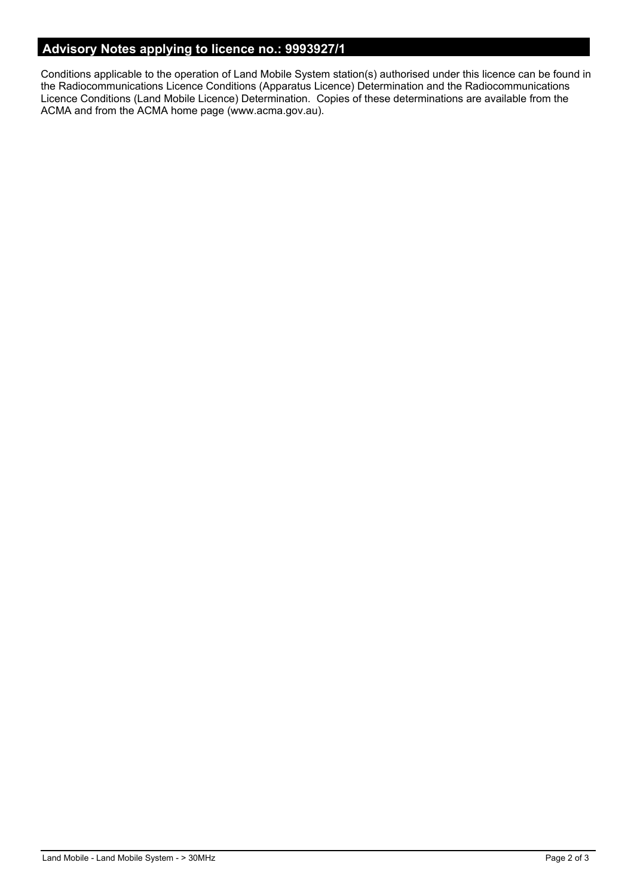# **Advisory Notes applying to licence no.: 9993927/1**

Conditions applicable to the operation of Land Mobile System station(s) authorised under this licence can be found in the Radiocommunications Licence Conditions (Apparatus Licence) Determination and the Radiocommunications Licence Conditions (Land Mobile Licence) Determination. Copies of these determinations are available from the ACMA and from the ACMA home page (www.acma.gov.au).